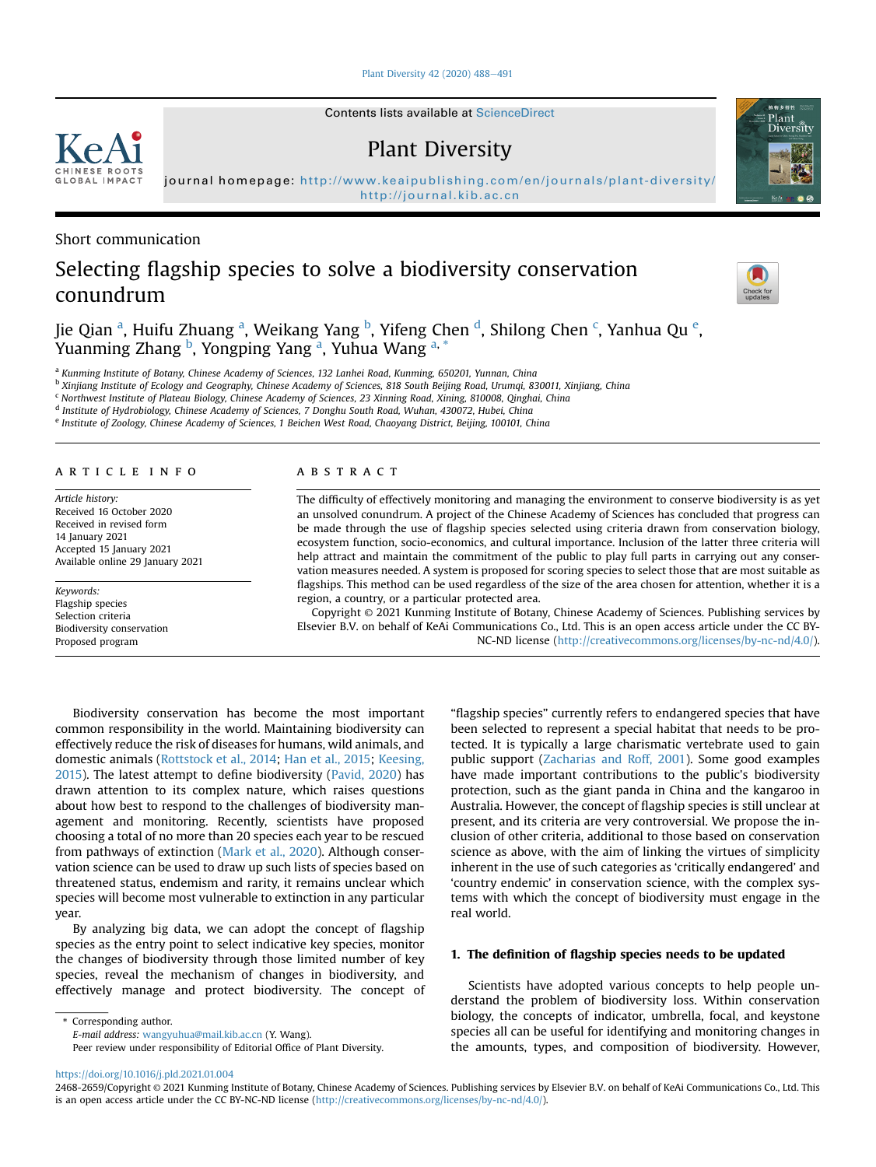[Plant Diversity 42 \(2020\) 488](https://doi.org/10.1016/j.pld.2021.01.004)-[491](https://doi.org/10.1016/j.pld.2021.01.004)

Contents lists available at [ScienceDirect](www.sciencedirect.com/science/journal/24682659)

## Plant Diversity

journal homepage: <http://www.keaipublishing.com/en/journals/plant-diversity/> <http://journal.kib.ac.cn>

Short communication

# Selecting flagship species to solve a biodiversity conservation conundrum

Jie Qi[a](#page-0-0)n <sup>a</sup>, Huifu Zhuang <sup>a</sup>, Weikang Yang <sup>[b](#page-0-1)</sup>, Yifeng Chen <sup>[d](#page-0-2)</sup>, Shilong Chen <sup>[c](#page-0-3)</sup>, Yanhua Qu <sup>[e](#page-0-4)</sup>, Yuanming Zhang <sup>[b](#page-0-1)</sup>, Yongping Y[a](#page-0-0)ng <sup>a</sup>, Yuhua Wang <sup>a, [\\*](#page-0-5)</sup>

<span id="page-0-0"></span><sup>a</sup> Kunming Institute of Botany, Chinese Academy of Sciences, 132 Lanhei Road, Kunming, 650201, Yunnan, China

<span id="page-0-1"></span>b Xinjiang Institute of Ecology and Geography, Chinese Academy of Sciences, 818 South Beijing Road, Urumqi, 830011, Xinjiang, China

<span id="page-0-3"></span><sup>c</sup> Northwest Institute of Plateau Biology, Chinese Academy of Sciences, 23 Xinning Road, Xining, 810008, Qinghai, China

<span id="page-0-2"></span><sup>d</sup> Institute of Hydrobiology, Chinese Academy of Sciences, 7 Donghu South Road, Wuhan, 430072, Hubei, China

<span id="page-0-4"></span><sup>e</sup> Institute of Zoology, Chinese Academy of Sciences, 1 Beichen West Road, Chaoyang District, Beijing, 100101, China

#### article info

Article history: Received 16 October 2020 Received in revised form 14 January 2021 Accepted 15 January 2021 Available online 29 January 2021

Keywords: Flagship species Selection criteria Biodiversity conservation Proposed program

#### ABSTRACT

The difficulty of effectively monitoring and managing the environment to conserve biodiversity is as yet an unsolved conundrum. A project of the Chinese Academy of Sciences has concluded that progress can be made through the use of flagship species selected using criteria drawn from conservation biology, ecosystem function, socio-economics, and cultural importance. Inclusion of the latter three criteria will help attract and maintain the commitment of the public to play full parts in carrying out any conservation measures needed. A system is proposed for scoring species to select those that are most suitable as flagships. This method can be used regardless of the size of the area chosen for attention, whether it is a region, a country, or a particular protected area.

Copyright © 2021 Kunming Institute of Botany, Chinese Academy of Sciences. Publishing services by Elsevier B.V. on behalf of KeAi Communications Co., Ltd. This is an open access article under the CC BY-NC-ND license [\(http://creativecommons.org/licenses/by-nc-nd/4.0/](http://creativecommons.org/licenses/by-nc-nd/4.0/)).

Biodiversity conservation has become the most important common responsibility in the world. Maintaining biodiversity can effectively reduce the risk of diseases for humans, wild animals, and domestic animals [\(Rottstock et al., 2014;](#page-3-0) [Han et al., 2015](#page-3-1); [Keesing,](#page-3-2) [2015\)](#page-3-2). The latest attempt to define biodiversity [\(Pavid, 2020\)](#page-3-3) has drawn attention to its complex nature, which raises questions about how best to respond to the challenges of biodiversity management and monitoring. Recently, scientists have proposed choosing a total of no more than 20 species each year to be rescued from pathways of extinction [\(Mark et al., 2020\)](#page-3-4). Although conservation science can be used to draw up such lists of species based on threatened status, endemism and rarity, it remains unclear which species will become most vulnerable to extinction in any particular year.

By analyzing big data, we can adopt the concept of flagship species as the entry point to select indicative key species, monitor the changes of biodiversity through those limited number of key species, reveal the mechanism of changes in biodiversity, and effectively manage and protect biodiversity. The concept of

<span id="page-0-5"></span>\* Corresponding author.

E-mail address: [wangyuhua@mail.kib.ac.cn](mailto:wangyuhua@mail.kib.ac.cn) (Y. Wang).

Peer review under responsibility of Editorial Office of Plant Diversity.

"flagship species" currently refers to endangered species that have been selected to represent a special habitat that needs to be protected. It is typically a large charismatic vertebrate used to gain public support ([Zacharias and Roff, 2001](#page-3-5)). Some good examples have made important contributions to the public's biodiversity protection, such as the giant panda in China and the kangaroo in Australia. However, the concept of flagship species is still unclear at present, and its criteria are very controversial. We propose the inclusion of other criteria, additional to those based on conservation science as above, with the aim of linking the virtues of simplicity inherent in the use of such categories as 'critically endangered' and 'country endemic' in conservation science, with the complex systems with which the concept of biodiversity must engage in the real world.

#### 1. The definition of flagship species needs to be updated

Scientists have adopted various concepts to help people understand the problem of biodiversity loss. Within conservation biology, the concepts of indicator, umbrella, focal, and keystone species all can be useful for identifying and monitoring changes in the amounts, types, and composition of biodiversity. However,

## <https://doi.org/10.1016/j.pld.2021.01.004>







<sup>2468-2659/</sup>Copyright © 2021 Kunming Institute of Botany, Chinese Academy of Sciences. Publishing services by Elsevier B.V. on behalf of KeAi Communications Co., Ltd. This is an open access article under the CC BY-NC-ND license ([http://creativecommons.org/licenses/by-nc-nd/4.0/\)](http://creativecommons.org/licenses/by-nc-nd/4.0/).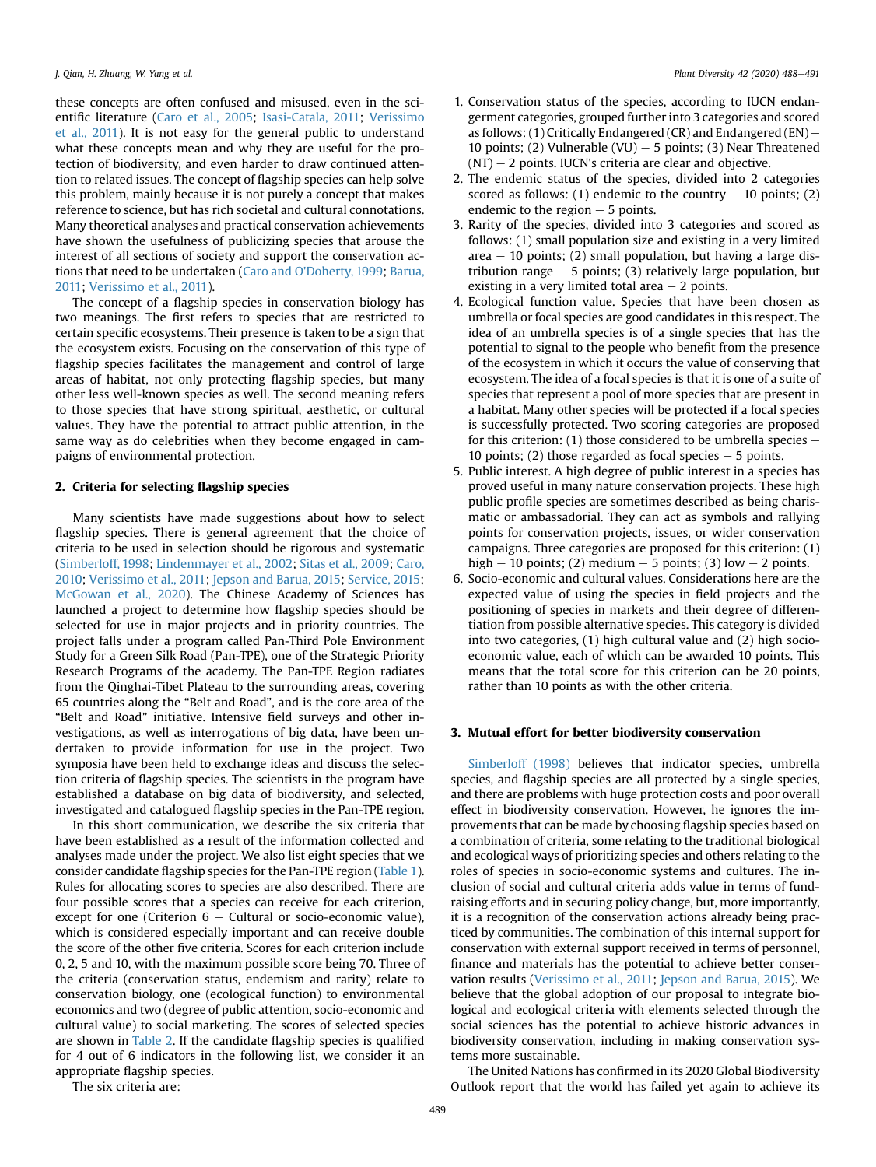these concepts are often confused and misused, even in the scientific literature ([Caro et al., 2005;](#page-3-6) [Isasi-Catala, 2011;](#page-3-7) [Verissimo](#page-3-8) [et al., 2011\)](#page-3-8). It is not easy for the general public to understand what these concepts mean and why they are useful for the protection of biodiversity, and even harder to draw continued attention to related issues. The concept of flagship species can help solve this problem, mainly because it is not purely a concept that makes reference to science, but has rich societal and cultural connotations. Many theoretical analyses and practical conservation achievements have shown the usefulness of publicizing species that arouse the interest of all sections of society and support the conservation actions that need to be undertaken [\(Caro and O'Doherty, 1999](#page-3-9); [Barua,](#page-3-10) [2011](#page-3-10); [Verissimo et al., 2011](#page-3-8)).

The concept of a flagship species in conservation biology has two meanings. The first refers to species that are restricted to certain specific ecosystems. Their presence is taken to be a sign that the ecosystem exists. Focusing on the conservation of this type of flagship species facilitates the management and control of large areas of habitat, not only protecting flagship species, but many other less well-known species as well. The second meaning refers to those species that have strong spiritual, aesthetic, or cultural values. They have the potential to attract public attention, in the same way as do celebrities when they become engaged in campaigns of environmental protection.

#### 2. Criteria for selecting flagship species

Many scientists have made suggestions about how to select flagship species. There is general agreement that the choice of criteria to be used in selection should be rigorous and systematic ([Simberloff, 1998;](#page-3-11) [Lindenmayer et al., 2002;](#page-3-12) [Sitas et al., 2009;](#page-3-13) [Caro,](#page-3-14) [2010;](#page-3-14) [Verissimo et al., 2011;](#page-3-8) [Jepson and Barua, 2015;](#page-3-15) [Service, 2015;](#page-3-16) [McGowan et al., 2020](#page-3-17)). The Chinese Academy of Sciences has launched a project to determine how flagship species should be selected for use in major projects and in priority countries. The project falls under a program called Pan-Third Pole Environment Study for a Green Silk Road (Pan-TPE), one of the Strategic Priority Research Programs of the academy. The Pan-TPE Region radiates from the Qinghai-Tibet Plateau to the surrounding areas, covering 65 countries along the "Belt and Road", and is the core area of the "Belt and Road" initiative. Intensive field surveys and other investigations, as well as interrogations of big data, have been undertaken to provide information for use in the project. Two symposia have been held to exchange ideas and discuss the selection criteria of flagship species. The scientists in the program have established a database on big data of biodiversity, and selected, investigated and catalogued flagship species in the Pan-TPE region.

In this short communication, we describe the six criteria that have been established as a result of the information collected and analyses made under the project. We also list eight species that we consider candidate flagship species for the Pan-TPE region [\(Table 1\)](#page-2-0). Rules for allocating scores to species are also described. There are four possible scores that a species can receive for each criterion, except for one (Criterion  $6 -$  Cultural or socio-economic value), which is considered especially important and can receive double the score of the other five criteria. Scores for each criterion include 0, 2, 5 and 10, with the maximum possible score being 70. Three of the criteria (conservation status, endemism and rarity) relate to conservation biology, one (ecological function) to environmental economics and two (degree of public attention, socio-economic and cultural value) to social marketing. The scores of selected species are shown in [Table 2](#page-2-1). If the candidate flagship species is qualified for 4 out of 6 indicators in the following list, we consider it an appropriate flagship species.

The six criteria are:

- 1. Conservation status of the species, according to IUCN endangerment categories, grouped further into 3 categories and scored as follows: (1) Critically Endangered (CR) and Endangered (EN)  $-$ 10 points; (2) Vulnerable (VU)  $-$  5 points; (3) Near Threatened  $(NT) - 2$  points. IUCN's criteria are clear and objective.
- 2. The endemic status of the species, divided into 2 categories scored as follows: (1) endemic to the country  $-$  10 points; (2) endemic to the region  $-5$  points.
- 3. Rarity of the species, divided into 3 categories and scored as follows: (1) small population size and existing in a very limited area  $-10$  points; (2) small population, but having a large distribution range  $-5$  points; (3) relatively large population, but existing in a very limited total area  $-2$  points.
- 4. Ecological function value. Species that have been chosen as umbrella or focal species are good candidates in this respect. The idea of an umbrella species is of a single species that has the potential to signal to the people who benefit from the presence of the ecosystem in which it occurs the value of conserving that ecosystem. The idea of a focal species is that it is one of a suite of species that represent a pool of more species that are present in a habitat. Many other species will be protected if a focal species is successfully protected. Two scoring categories are proposed for this criterion:  $(1)$  those considered to be umbrella species  $-$ 10 points; (2) those regarded as focal species  $-5$  points.
- 5. Public interest. A high degree of public interest in a species has proved useful in many nature conservation projects. These high public profile species are sometimes described as being charismatic or ambassadorial. They can act as symbols and rallying points for conservation projects, issues, or wider conservation campaigns. Three categories are proposed for this criterion: (1) high  $-10$  points; (2) medium  $-5$  points; (3) low  $-2$  points.
- 6. Socio-economic and cultural values. Considerations here are the expected value of using the species in field projects and the positioning of species in markets and their degree of differentiation from possible alternative species. This category is divided into two categories, (1) high cultural value and (2) high socioeconomic value, each of which can be awarded 10 points. This means that the total score for this criterion can be 20 points, rather than 10 points as with the other criteria.

#### 3. Mutual effort for better biodiversity conservation

[Simberloff \(1998\)](#page-3-11) believes that indicator species, umbrella species, and flagship species are all protected by a single species, and there are problems with huge protection costs and poor overall effect in biodiversity conservation. However, he ignores the improvements that can be made by choosing flagship species based on a combination of criteria, some relating to the traditional biological and ecological ways of prioritizing species and others relating to the roles of species in socio-economic systems and cultures. The inclusion of social and cultural criteria adds value in terms of fundraising efforts and in securing policy change, but, more importantly, it is a recognition of the conservation actions already being practiced by communities. The combination of this internal support for conservation with external support received in terms of personnel, finance and materials has the potential to achieve better conservation results [\(Verissimo et al., 2011;](#page-3-8) [Jepson and Barua, 2015\)](#page-3-15). We believe that the global adoption of our proposal to integrate biological and ecological criteria with elements selected through the social sciences has the potential to achieve historic advances in biodiversity conservation, including in making conservation systems more sustainable.

The United Nations has confirmed in its 2020 Global Biodiversity Outlook report that the world has failed yet again to achieve its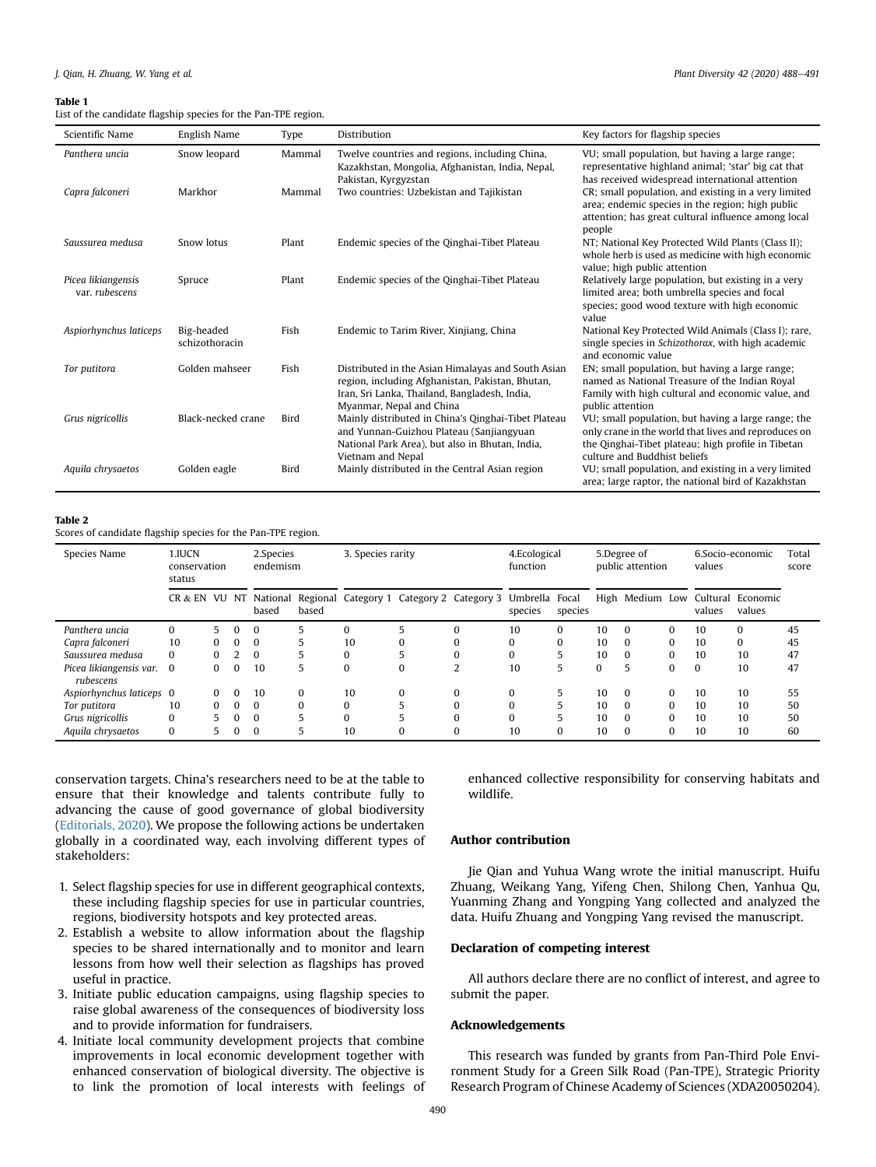#### <span id="page-2-0"></span>Table 1

List of the candidate flagship species for the Pan-TPE region.

| Scientific Name                      | English Name                 | Type   | Distribution                                                                                                                                                                        | Key factors for flagship species                                                                                                                                                                  |
|--------------------------------------|------------------------------|--------|-------------------------------------------------------------------------------------------------------------------------------------------------------------------------------------|---------------------------------------------------------------------------------------------------------------------------------------------------------------------------------------------------|
| Panthera uncia                       | Snow leopard                 | Mammal | Twelve countries and regions, including China,<br>Kazakhstan, Mongolia, Afghanistan, India, Nepal,<br>Pakistan, Kyrgyzstan                                                          | VU; small population, but having a large range;<br>representative highland animal; 'star' big cat that<br>has received widespread international attention                                         |
| Capra falconeri                      | Markhor                      | Mammal | Two countries: Uzbekistan and Tajikistan                                                                                                                                            | CR; small population, and existing in a very limited<br>area; endemic species in the region; high public<br>attention; has great cultural influence among local<br>people                         |
| Saussurea medusa                     | Snow lotus                   | Plant  | Endemic species of the Qinghai-Tibet Plateau                                                                                                                                        | NT; National Key Protected Wild Plants (Class II);<br>whole herb is used as medicine with high economic<br>value; high public attention                                                           |
| Picea likiangensis<br>var. rubescens | Spruce                       | Plant  | Endemic species of the Qinghai-Tibet Plateau                                                                                                                                        | Relatively large population, but existing in a very<br>limited area; both umbrella species and focal<br>species; good wood texture with high economic<br>value                                    |
| Aspiorhynchus laticeps               | Big-headed<br>schizothoracin | Fish   | Endemic to Tarim River, Xinjiang, China                                                                                                                                             | National Key Protected Wild Animals (Class I); rare,<br>single species in Schizothorax, with high academic<br>and economic value                                                                  |
| Tor putitora                         | Golden mahseer               | Fish   | Distributed in the Asian Himalayas and South Asian<br>region, including Afghanistan, Pakistan, Bhutan,<br>Iran, Sri Lanka, Thailand, Bangladesh, India,<br>Myanmar, Nepal and China | EN; small population, but having a large range;<br>named as National Treasure of the Indian Royal<br>Family with high cultural and economic value, and<br>public attention                        |
| Grus nigricollis                     | Black-necked crane           | Bird   | Mainly distributed in China's Qinghai-Tibet Plateau<br>and Yunnan-Guizhou Plateau (Sanjiangyuan<br>National Park Area), but also in Bhutan, India,<br>Vietnam and Nepal             | VU; small population, but having a large range; the<br>only crane in the world that lives and reproduces on<br>the Qinghai-Tibet plateau; high profile in Tibetan<br>culture and Buddhist beliefs |
| Aquila chrysaetos                    | Golden eagle                 | Bird   | Mainly distributed in the Central Asian region                                                                                                                                      | VU; small population, and existing in a very limited<br>area; large raptor, the national bird of Kazakhstan                                                                                       |

#### <span id="page-2-1"></span>Table 2

Scores of candidate flagship species for the Pan-TPE region.

| Species Name                         | 1.IUCN<br>conservation<br>status |          |          | 2.Species<br>endemism |          | 3. Species rarity |                                                                   | 4.Ecological<br>function |              | 5.Degree of<br>public attention |          |                 | 6.Socio-economic<br>values |          | Total<br>score              |    |
|--------------------------------------|----------------------------------|----------|----------|-----------------------|----------|-------------------|-------------------------------------------------------------------|--------------------------|--------------|---------------------------------|----------|-----------------|----------------------------|----------|-----------------------------|----|
|                                      | CR & EN                          | VU       | NT       | based                 | based    |                   | National Regional Category 1 Category 2 Category 3 Umbrella Focal |                          | species      | species                         |          | High Medium Low |                            | values   | Cultural Economic<br>values |    |
| Panthera uncia                       |                                  | 5.       | $\Omega$ | $\Omega$              |          | 0                 |                                                                   | $\Omega$                 | 10           | $\Omega$                        | 10       | $\Omega$        | 0                          | 10       |                             | 45 |
| Capra falconeri                      | 10                               | $\Omega$ | $\Omega$ | $\Omega$              |          | 10                |                                                                   |                          | $\Omega$     | $\Omega$                        | 10       | $\Omega$        | $\Omega$                   | 10       | $\Omega$                    | 45 |
| Saussurea medusa                     | $\Omega$                         | $\Omega$ |          | $\Omega$              | 5        | $\Omega$          |                                                                   |                          | $\Omega$     | 5                               | 10       | $\Omega$        | $\Omega$                   | 10       | 10                          | 47 |
| Picea likiangensis var.<br>rubescens | $\Omega$                         | $\Omega$ | $\Omega$ | 10                    | 5        | $\bf{0}$          | $\Omega$                                                          |                          | 10           | 5                               | $\Omega$ | 5               | $\Omega$                   | $\Omega$ | 10                          | 47 |
| Aspiorhynchus laticeps 0             |                                  | $\Omega$ | 0        | 10                    | 0        | 10                | $\Omega$                                                          | $\Omega$                 | $\mathbf{0}$ | 5                               | 10       | $\bf{0}$        | $\bf{0}$                   | 10       | 10                          | 55 |
| Tor putitora                         | 10                               | $\Omega$ | $\Omega$ | $\Omega$              | $\Omega$ | 0                 |                                                                   |                          | $\Omega$     | 5                               | 10       | $\Omega$        | $\Omega$                   | 10       | 10                          | 50 |
| Grus nigricollis                     |                                  | 5.       | $\Omega$ | $\Omega$              |          | $\Omega$          |                                                                   |                          | $\Omega$     |                                 | 10       | $\Omega$        | $\Omega$                   | 10       | 10                          | 50 |
| Aquila chrysaetos                    | $\bf{0}$                         | 5.       | $\Omega$ | $\bf{0}$              |          | 10                |                                                                   |                          | 10           | 0                               | 10       | 0               | 0                          | 10       | 10                          | 60 |

conservation targets. China's researchers need to be at the table to ensure that their knowledge and talents contribute fully to advancing the cause of good governance of global biodiversity ([Editorials, 2020](#page-3-18)). We propose the following actions be undertaken globally in a coordinated way, each involving different types of stakeholders:

- 1. Select flagship species for use in different geographical contexts, these including flagship species for use in particular countries, regions, biodiversity hotspots and key protected areas.
- 2. Establish a website to allow information about the flagship species to be shared internationally and to monitor and learn lessons from how well their selection as flagships has proved useful in practice.
- 3. Initiate public education campaigns, using flagship species to raise global awareness of the consequences of biodiversity loss and to provide information for fundraisers.
- 4. Initiate local community development projects that combine improvements in local economic development together with enhanced conservation of biological diversity. The objective is to link the promotion of local interests with feelings of

enhanced collective responsibility for conserving habitats and wildlife.

### Author contribution

Jie Qian and Yuhua Wang wrote the initial manuscript. Huifu Zhuang, Weikang Yang, Yifeng Chen, Shilong Chen, Yanhua Qu, Yuanming Zhang and Yongping Yang collected and analyzed the data. Huifu Zhuang and Yongping Yang revised the manuscript.

### Declaration of competing interest

All authors declare there are no conflict of interest, and agree to submit the paper.

#### Acknowledgements

This research was funded by grants from Pan-Third Pole Environment Study for a Green Silk Road (Pan-TPE), Strategic Priority Research Program of Chinese Academy of Sciences (XDA20050204).